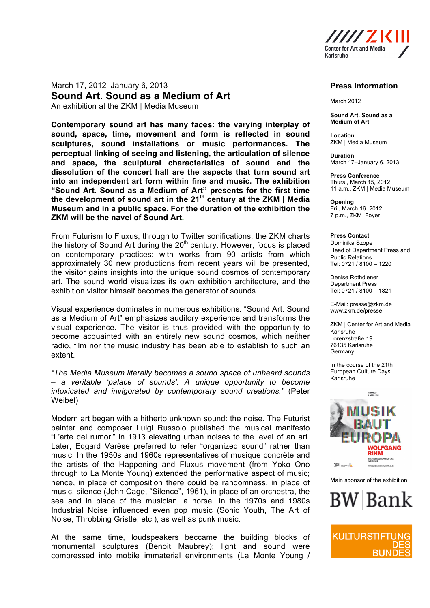

March 17, 2012–January 6, 2013 **Sound Art. Sound as a Medium of Art** An exhibition at the ZKM | Media Museum

**Contemporary sound art has many faces: the varying interplay of sound, space, time, movement and form is reflected in sound sculptures, sound installations or music performances. The perceptual linking of seeing and listening, the articulation of silence and space, the sculptural characteristics of sound and the dissolution of the concert hall are the aspects that turn sound art into an independent art form within fine and music. The exhibition "Sound Art. Sound as a Medium of Art" presents for the first time the development of sound art in the 21th century at the ZKM | Media Museum and in a public space. For the duration of the exhibition the ZKM will be the navel of Sound Art.**

From Futurism to Fluxus, through to Twitter sonifications, the ZKM charts the history of Sound Art during the  $20<sup>th</sup>$  century. However, focus is placed on contemporary practices: with works from 90 artists from which approximately 30 new productions from recent years will be presented, the visitor gains insights into the unique sound cosmos of contemporary art. The sound world visualizes its own exhibition architecture, and the exhibition visitor himself becomes the generator of sounds.

Visual experience dominates in numerous exhibitions. "Sound Art. Sound as a Medium of Art" emphasizes auditory experience and transforms the visual experience. The visitor is thus provided with the opportunity to become acquainted with an entirely new sound cosmos, which neither radio, film nor the music industry has been able to establish to such an extent.

*"The Media Museum literally becomes a sound space of unheard sounds – a veritable 'palace of sounds'. A unique opportunity to become intoxicated and invigorated by contemporary sound creations."* (Peter Weibel)

Modern art began with a hitherto unknown sound: the noise. The Futurist painter and composer Luigi Russolo published the musical manifesto "L'arte dei rumori" in 1913 elevating urban noises to the level of an art. Later, Edgard Varèse preferred to refer "organized sound" rather than music. In the 1950s and 1960s representatives of musique concrète and the artists of the Happening and Fluxus movement (from Yoko Ono through to La Monte Young) extended the performative aspect of music; hence, in place of composition there could be randomness, in place of music, silence (John Cage, "Silence", 1961), in place of an orchestra, the sea and in place of the musician, a horse. In the 1970s and 1980s Industrial Noise influenced even pop music (Sonic Youth, The Art of Noise, Throbbing Gristle, etc.), as well as punk music.

At the same time, loudspeakers beccame the building blocks of monumental sculptures (Benoit Maubrey); light and sound were compressed into mobile immaterial environments (La Monte Young /

## **Press Information**

March 2012

**Sound Art. Sound as a Medium of Art**

**Location** ZKM | Media Museum

**Duration** March 17–January 6, 2013

**Press Conference** Thurs., March 15, 2012, 11 a.m., ZKM | Media Museum

**Opening** Fri., March 16, 2012, 7 p.m., ZKM\_Foyer

## **Press Contact**

Dominika Szope Head of Department Press and Public Relations Tel: 0721 / 8100 – 1220

Denise Rothdiener Department Press Tel: 0721 / 8100 – 1821

E-Mail: presse@zkm.de www.zkm.de/presse

ZKM | Center for Art and Media Karlsruhe Lorenzstraße 19 76135 Karlsruhe Germany

In the course of the 21th European Culture Days Karlsruhe



Main sponsor of the exhibition



KULTURSTII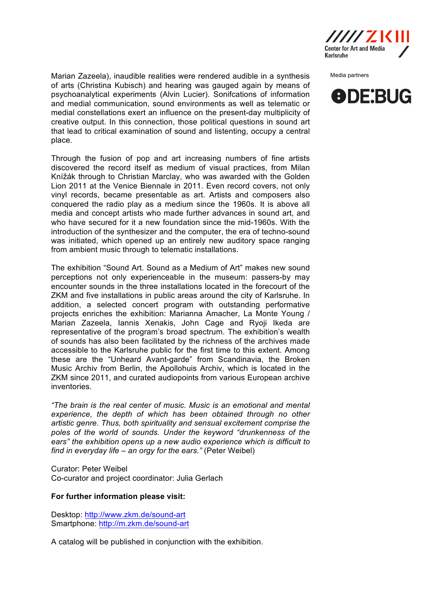

Media partners



Marian Zazeela), inaudible realities were rendered audible in a synthesis of arts (Christina Kubisch) and hearing was gauged again by means of psychoanalytical experiments (Alvin Lucier). Sonifcations of information and medial communication, sound environments as well as telematic or medial constellations exert an influence on the present-day multiplicity of creative output. In this connection, those political questions in sound art that lead to critical examination of sound and listenting, occupy a central place.

Through the fusion of pop and art increasing numbers of fine artists discovered the record itself as medium of visual practices, from Milan Knížák through to Christian Marclay, who was awarded with the Golden Lion 2011 at the Venice Biennale in 2011. Even record covers, not only vinyl records, became presentable as art. Artists and composers also conquered the radio play as a medium since the 1960s. It is above all media and concept artists who made further advances in sound art, and who have secured for it a new foundation since the mid-1960s. With the introduction of the synthesizer and the computer, the era of techno-sound was initiated, which opened up an entirely new auditory space ranging from ambient music through to telematic installations.

The exhibition "Sound Art. Sound as a Medium of Art" makes new sound perceptions not only experienceable in the museum: passers-by may encounter sounds in the three installations located in the forecourt of the ZKM and five installations in public areas around the city of Karlsruhe. In addition, a selected concert program with outstanding performative projects enriches the exhibition: Marianna Amacher, La Monte Young / Marian Zazeela, Iannis Xenakis, John Cage and Ryoji Ikeda are representative of the program's broad spectrum. The exhibition's wealth of sounds has also been facilitated by the richness of the archives made accessible to the Karlsruhe public for the first time to this extent. Among these are the "Unheard Avant-garde" from Scandinavia, the Broken Music Archiv from Berlin, the Apollohuis Archiv, which is located in the ZKM since 2011, and curated audiopoints from various European archive inventories.

*"The brain is the real center of music. Music is an emotional and mental experience, the depth of which has been obtained through no other artistic genre. Thus, both spirituality and sensual excitement comprise the poles of the world of sounds. Under the keyword "drunkenness of the ears" the exhibition opens up a new audio experience which is difficult to find in everyday life – an orgy for the ears."* (Peter Weibel)

Curator: Peter Weibel Co-curator and project coordinator: Julia Gerlach

## **For further information please visit:**

Desktop: http://www.zkm.de/sound-art Smartphone: http://m.zkm.de/sound-art

A catalog will be published in conjunction with the exhibition.